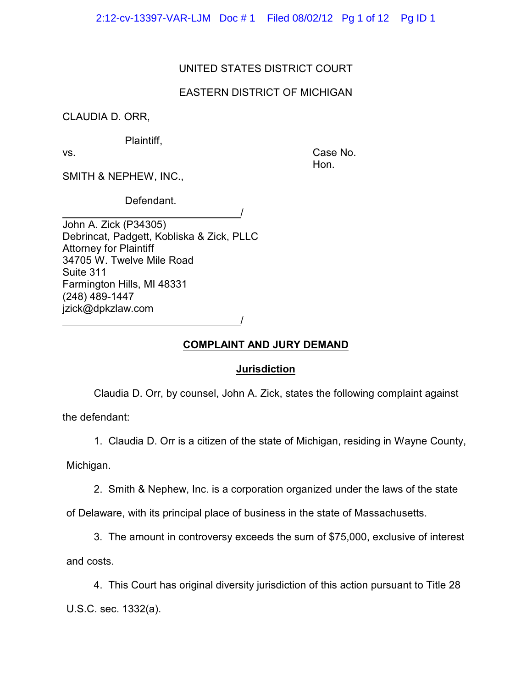2:12-cv-13397-VAR-LJM Doc # 1 Filed 08/02/12 Pg 1 of 12 Pg ID 1

## UNITED STATES DISTRICT COURT

## EASTERN DISTRICT OF MICHIGAN

CLAUDIA D. ORR,

Plaintiff,

vs. Case No. Hon.

SMITH & NEPHEW, INC.,

Defendant.

 / John A. Zick (P34305) Debrincat, Padgett, Kobliska & Zick, PLLC Attorney for Plaintiff 34705 W. Twelve Mile Road Suite 311 Farmington Hills, MI 48331 (248) 489-1447 jzick@dpkzlaw.com

/

# **COMPLAINT AND JURY DEMAND**

### **Jurisdiction**

Claudia D. Orr, by counsel, John A. Zick, states the following complaint against

the defendant:

1. Claudia D. Orr is a citizen of the state of Michigan, residing in Wayne County,

Michigan.

2. Smith & Nephew, Inc. is a corporation organized under the laws of the state

of Delaware, with its principal place of business in the state of Massachusetts.

3. The amount in controversy exceeds the sum of \$75,000, exclusive of interest and costs.

4. This Court has original diversity jurisdiction of this action pursuant to Title 28 U.S.C. sec. 1332(a).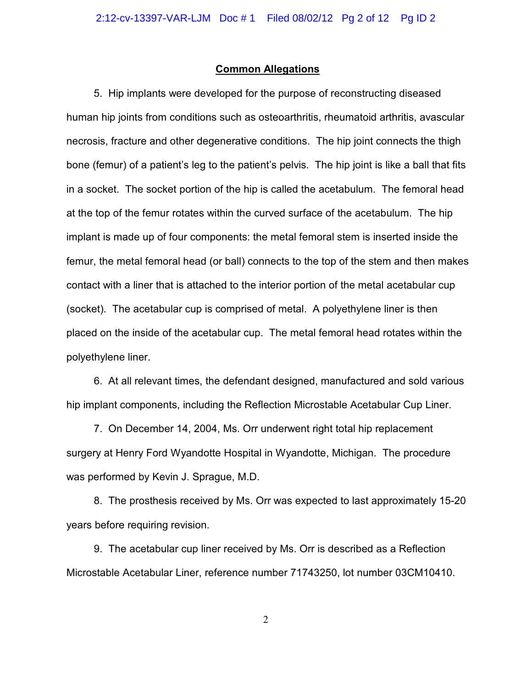#### **Common Allegations**

5. Hip implants were developed for the purpose of reconstructing diseased human hip joints from conditions such as osteoarthritis, rheumatoid arthritis, avascular necrosis, fracture and other degenerative conditions. The hip joint connects the thigh bone (femur) of a patient's leg to the patient's pelvis. The hip joint is like a ball that fits in a socket. The socket portion of the hip is called the acetabulum. The femoral head at the top of the femur rotates within the curved surface of the acetabulum. The hip implant is made up of four components: the metal femoral stem is inserted inside the femur, the metal femoral head (or ball) connects to the top of the stem and then makes contact with a liner that is attached to the interior portion of the metal acetabular cup (socket). The acetabular cup is comprised of metal. A polyethylene liner is then placed on the inside of the acetabular cup. The metal femoral head rotates within the polyethylene liner.

6. At all relevant times, the defendant designed, manufactured and sold various hip implant components, including the Reflection Microstable Acetabular Cup Liner.

7. On December 14, 2004, Ms. Orr underwent right total hip replacement surgery at Henry Ford Wyandotte Hospital in Wyandotte, Michigan. The procedure was performed by Kevin J. Sprague, M.D.

8. The prosthesis received by Ms. Orr was expected to last approximately 15-20 years before requiring revision.

9. The acetabular cup liner received by Ms. Orr is described as a Reflection Microstable Acetabular Liner, reference number 71743250, lot number 03CM10410.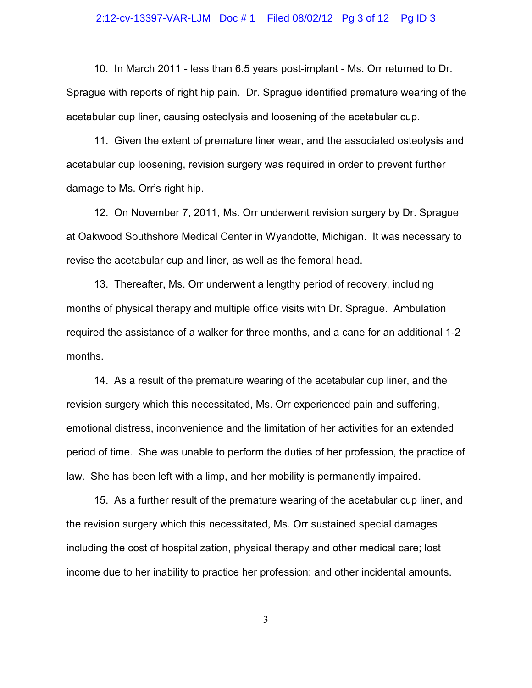# 2:12-cv-13397-VAR-LJM Doc # 1 Filed 08/02/12 Pg 3 of 12 Pg ID 3

10. In March 2011 - less than 6.5 years post-implant - Ms. Orr returned to Dr. Sprague with reports of right hip pain. Dr. Sprague identified premature wearing of the acetabular cup liner, causing osteolysis and loosening of the acetabular cup.

11. Given the extent of premature liner wear, and the associated osteolysis and acetabular cup loosening, revision surgery was required in order to prevent further damage to Ms. Orr's right hip.

12. On November 7, 2011, Ms. Orr underwent revision surgery by Dr. Sprague at Oakwood Southshore Medical Center in Wyandotte, Michigan. It was necessary to revise the acetabular cup and liner, as well as the femoral head.

13. Thereafter, Ms. Orr underwent a lengthy period of recovery, including months of physical therapy and multiple office visits with Dr. Sprague. Ambulation required the assistance of a walker for three months, and a cane for an additional 1-2 months.

14. As a result of the premature wearing of the acetabular cup liner, and the revision surgery which this necessitated, Ms. Orr experienced pain and suffering, emotional distress, inconvenience and the limitation of her activities for an extended period of time. She was unable to perform the duties of her profession, the practice of law. She has been left with a limp, and her mobility is permanently impaired.

15. As a further result of the premature wearing of the acetabular cup liner, and the revision surgery which this necessitated, Ms. Orr sustained special damages including the cost of hospitalization, physical therapy and other medical care; lost income due to her inability to practice her profession; and other incidental amounts.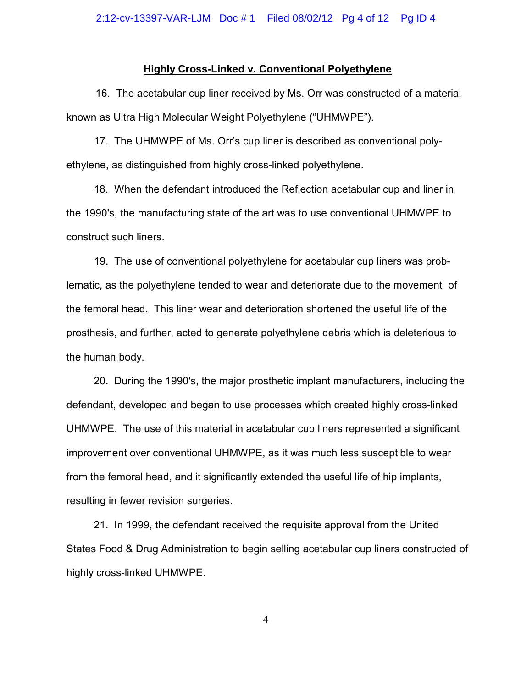#### **Highly Cross-Linked v. Conventional Polyethylene**

 16. The acetabular cup liner received by Ms. Orr was constructed of a material known as Ultra High Molecular Weight Polyethylene ("UHMWPE").

17. The UHMWPE of Ms. Orr's cup liner is described as conventional polyethylene, as distinguished from highly cross-linked polyethylene.

18. When the defendant introduced the Reflection acetabular cup and liner in the 1990's, the manufacturing state of the art was to use conventional UHMWPE to construct such liners.

19. The use of conventional polyethylene for acetabular cup liners was problematic, as the polyethylene tended to wear and deteriorate due to the movement of the femoral head. This liner wear and deterioration shortened the useful life of the prosthesis, and further, acted to generate polyethylene debris which is deleterious to the human body.

20. During the 1990's, the major prosthetic implant manufacturers, including the defendant, developed and began to use processes which created highly cross-linked UHMWPE. The use of this material in acetabular cup liners represented a significant improvement over conventional UHMWPE, as it was much less susceptible to wear from the femoral head, and it significantly extended the useful life of hip implants, resulting in fewer revision surgeries.

21. In 1999, the defendant received the requisite approval from the United States Food & Drug Administration to begin selling acetabular cup liners constructed of highly cross-linked UHMWPE.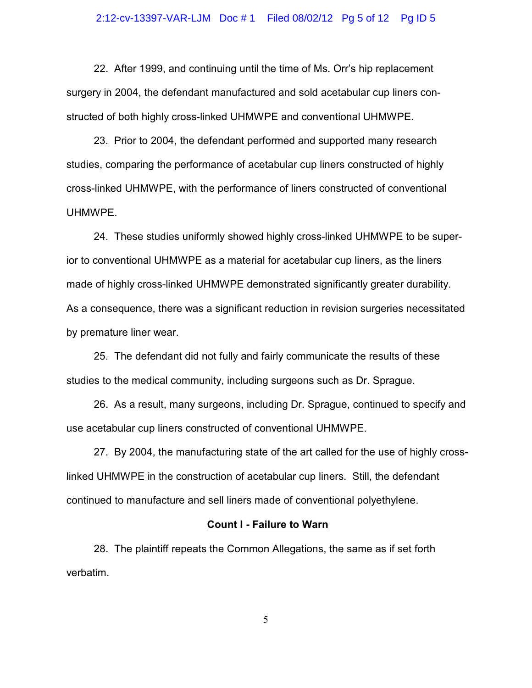#### 2:12-cv-13397-VAR-LJM Doc # 1 Filed 08/02/12 Pg 5 of 12 Pg ID 5

22. After 1999, and continuing until the time of Ms. Orr's hip replacement surgery in 2004, the defendant manufactured and sold acetabular cup liners constructed of both highly cross-linked UHMWPE and conventional UHMWPE.

23. Prior to 2004, the defendant performed and supported many research studies, comparing the performance of acetabular cup liners constructed of highly cross-linked UHMWPE, with the performance of liners constructed of conventional UHMWPE.

24. These studies uniformly showed highly cross-linked UHMWPE to be superior to conventional UHMWPE as a material for acetabular cup liners, as the liners made of highly cross-linked UHMWPE demonstrated significantly greater durability. As a consequence, there was a significant reduction in revision surgeries necessitated by premature liner wear.

25. The defendant did not fully and fairly communicate the results of these studies to the medical community, including surgeons such as Dr. Sprague.

26. As a result, many surgeons, including Dr. Sprague, continued to specify and use acetabular cup liners constructed of conventional UHMWPE.

27. By 2004, the manufacturing state of the art called for the use of highly crosslinked UHMWPE in the construction of acetabular cup liners. Still, the defendant continued to manufacture and sell liners made of conventional polyethylene.

# **Count I - Failure to Warn**

28. The plaintiff repeats the Common Allegations, the same as if set forth verbatim.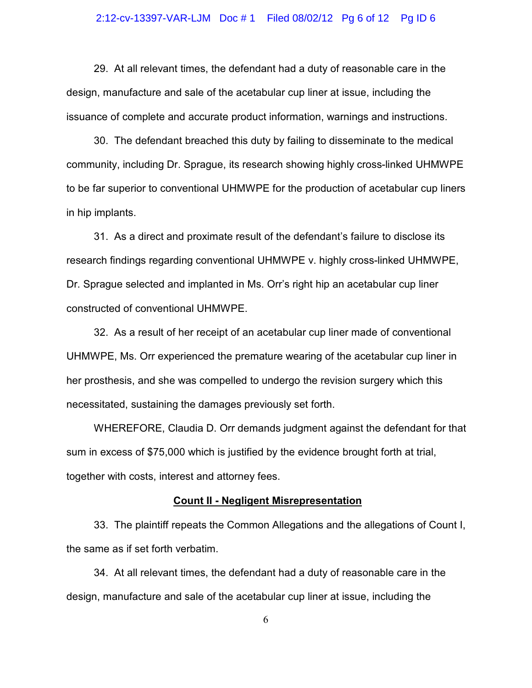#### 2:12-cv-13397-VAR-LJM Doc # 1 Filed 08/02/12 Pg 6 of 12 Pg ID 6

29. At all relevant times, the defendant had a duty of reasonable care in the design, manufacture and sale of the acetabular cup liner at issue, including the issuance of complete and accurate product information, warnings and instructions.

30. The defendant breached this duty by failing to disseminate to the medical community, including Dr. Sprague, its research showing highly cross-linked UHMWPE to be far superior to conventional UHMWPE for the production of acetabular cup liners in hip implants.

31. As a direct and proximate result of the defendant's failure to disclose its research findings regarding conventional UHMWPE v. highly cross-linked UHMWPE, Dr. Sprague selected and implanted in Ms. Orr's right hip an acetabular cup liner constructed of conventional UHMWPE.

32. As a result of her receipt of an acetabular cup liner made of conventional UHMWPE, Ms. Orr experienced the premature wearing of the acetabular cup liner in her prosthesis, and she was compelled to undergo the revision surgery which this necessitated, sustaining the damages previously set forth.

WHEREFORE, Claudia D. Orr demands judgment against the defendant for that sum in excess of \$75,000 which is justified by the evidence brought forth at trial, together with costs, interest and attorney fees.

### **Count II - Negligent Misrepresentation**

33. The plaintiff repeats the Common Allegations and the allegations of Count I, the same as if set forth verbatim.

34. At all relevant times, the defendant had a duty of reasonable care in the design, manufacture and sale of the acetabular cup liner at issue, including the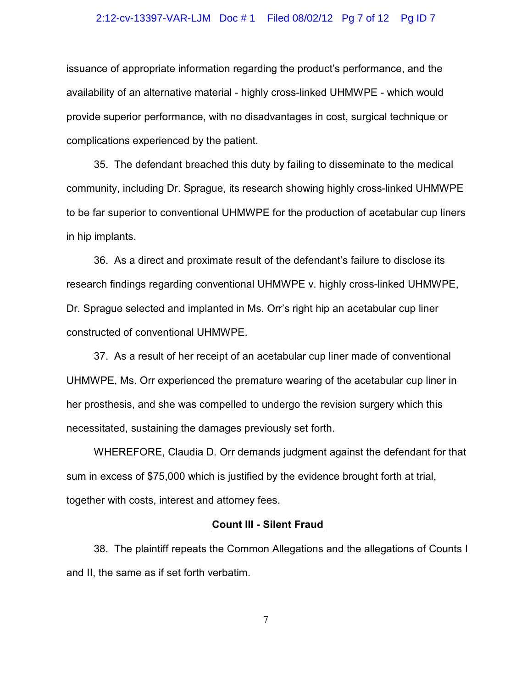#### 2:12-cv-13397-VAR-LJM Doc # 1 Filed 08/02/12 Pg 7 of 12 Pg ID 7

issuance of appropriate information regarding the product's performance, and the availability of an alternative material - highly cross-linked UHMWPE - which would provide superior performance, with no disadvantages in cost, surgical technique or complications experienced by the patient.

35. The defendant breached this duty by failing to disseminate to the medical community, including Dr. Sprague, its research showing highly cross-linked UHMWPE to be far superior to conventional UHMWPE for the production of acetabular cup liners in hip implants.

36. As a direct and proximate result of the defendant's failure to disclose its research findings regarding conventional UHMWPE v. highly cross-linked UHMWPE, Dr. Sprague selected and implanted in Ms. Orr's right hip an acetabular cup liner constructed of conventional UHMWPE.

37. As a result of her receipt of an acetabular cup liner made of conventional UHMWPE, Ms. Orr experienced the premature wearing of the acetabular cup liner in her prosthesis, and she was compelled to undergo the revision surgery which this necessitated, sustaining the damages previously set forth.

WHEREFORE, Claudia D. Orr demands judgment against the defendant for that sum in excess of \$75,000 which is justified by the evidence brought forth at trial, together with costs, interest and attorney fees.

#### **Count III - Silent Fraud**

38. The plaintiff repeats the Common Allegations and the allegations of Counts I and II, the same as if set forth verbatim.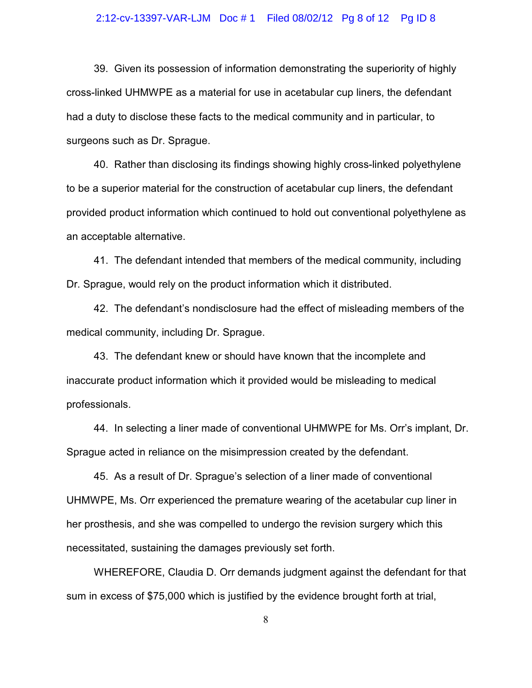#### 2:12-cv-13397-VAR-LJM Doc # 1 Filed 08/02/12 Pg 8 of 12 Pg ID 8

39. Given its possession of information demonstrating the superiority of highly cross-linked UHMWPE as a material for use in acetabular cup liners, the defendant had a duty to disclose these facts to the medical community and in particular, to surgeons such as Dr. Sprague.

40. Rather than disclosing its findings showing highly cross-linked polyethylene to be a superior material for the construction of acetabular cup liners, the defendant provided product information which continued to hold out conventional polyethylene as an acceptable alternative.

41. The defendant intended that members of the medical community, including Dr. Sprague, would rely on the product information which it distributed.

42. The defendant's nondisclosure had the effect of misleading members of the medical community, including Dr. Sprague.

43. The defendant knew or should have known that the incomplete and inaccurate product information which it provided would be misleading to medical professionals.

44. In selecting a liner made of conventional UHMWPE for Ms. Orr's implant, Dr. Sprague acted in reliance on the misimpression created by the defendant.

45. As a result of Dr. Sprague's selection of a liner made of conventional UHMWPE, Ms. Orr experienced the premature wearing of the acetabular cup liner in her prosthesis, and she was compelled to undergo the revision surgery which this necessitated, sustaining the damages previously set forth.

WHEREFORE, Claudia D. Orr demands judgment against the defendant for that sum in excess of \$75,000 which is justified by the evidence brought forth at trial,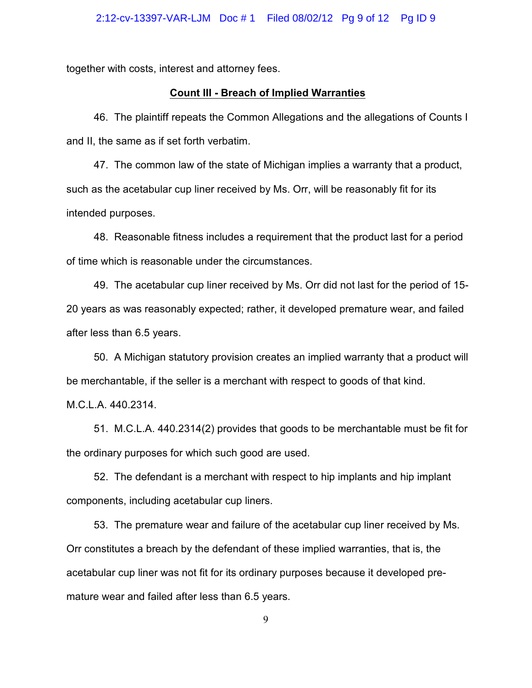together with costs, interest and attorney fees.

#### **Count III - Breach of Implied Warranties**

46. The plaintiff repeats the Common Allegations and the allegations of Counts I and II, the same as if set forth verbatim.

47. The common law of the state of Michigan implies a warranty that a product, such as the acetabular cup liner received by Ms. Orr, will be reasonably fit for its intended purposes.

48. Reasonable fitness includes a requirement that the product last for a period of time which is reasonable under the circumstances.

49. The acetabular cup liner received by Ms. Orr did not last for the period of 15- 20 years as was reasonably expected; rather, it developed premature wear, and failed after less than 6.5 years.

50. A Michigan statutory provision creates an implied warranty that a product will be merchantable, if the seller is a merchant with respect to goods of that kind.

M.C.L.A. 440.2314.

51. M.C.L.A. 440.2314(2) provides that goods to be merchantable must be fit for the ordinary purposes for which such good are used.

52. The defendant is a merchant with respect to hip implants and hip implant components, including acetabular cup liners.

53. The premature wear and failure of the acetabular cup liner received by Ms. Orr constitutes a breach by the defendant of these implied warranties, that is, the acetabular cup liner was not fit for its ordinary purposes because it developed premature wear and failed after less than 6.5 years.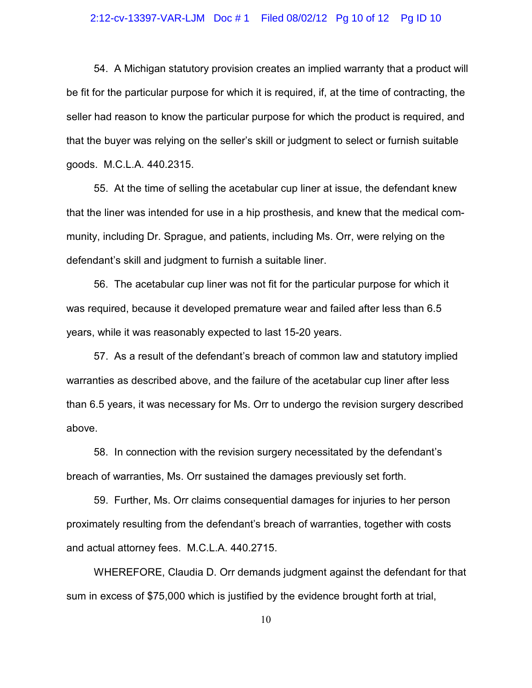#### 2:12-cv-13397-VAR-LJM Doc # 1 Filed 08/02/12 Pg 10 of 12 Pg ID 10

54. A Michigan statutory provision creates an implied warranty that a product will be fit for the particular purpose for which it is required, if, at the time of contracting, the seller had reason to know the particular purpose for which the product is required, and that the buyer was relying on the seller's skill or judgment to select or furnish suitable goods. M.C.L.A. 440.2315.

55. At the time of selling the acetabular cup liner at issue, the defendant knew that the liner was intended for use in a hip prosthesis, and knew that the medical community, including Dr. Sprague, and patients, including Ms. Orr, were relying on the defendant's skill and judgment to furnish a suitable liner.

56. The acetabular cup liner was not fit for the particular purpose for which it was required, because it developed premature wear and failed after less than 6.5 years, while it was reasonably expected to last 15-20 years.

57. As a result of the defendant's breach of common law and statutory implied warranties as described above, and the failure of the acetabular cup liner after less than 6.5 years, it was necessary for Ms. Orr to undergo the revision surgery described above.

58. In connection with the revision surgery necessitated by the defendant's breach of warranties, Ms. Orr sustained the damages previously set forth.

59. Further, Ms. Orr claims consequential damages for injuries to her person proximately resulting from the defendant's breach of warranties, together with costs and actual attorney fees. M.C.L.A. 440.2715.

WHEREFORE, Claudia D. Orr demands judgment against the defendant for that sum in excess of \$75,000 which is justified by the evidence brought forth at trial,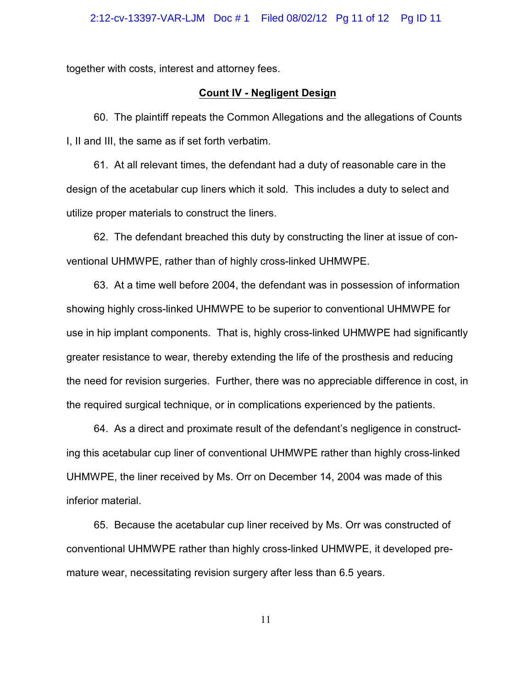together with costs, interest and attorney fees.

### **Count IV - Negligent Design**

60. The plaintiff repeats the Common Allegations and the allegations of Counts I, II and III, the same as if set forth verbatim.

61. At all relevant times, the defendant had a duty of reasonable care in the design of the acetabular cup liners which it sold. This includes a duty to select and utilize proper materials to construct the liners.

62. The defendant breached this duty by constructing the liner at issue of conventional UHMWPE, rather than of highly cross-linked UHMWPE.

63. At a time well before 2004, the defendant was in possession of information showing highly cross-linked UHMWPE to be superior to conventional UHMWPE for use in hip implant components. That is, highly cross-linked UHMWPE had significantly greater resistance to wear, thereby extending the life of the prosthesis and reducing the need for revision surgeries. Further, there was no appreciable difference in cost, in the required surgical technique, or in complications experienced by the patients.

64. As a direct and proximate result of the defendant's negligence in constructing this acetabular cup liner of conventional UHMWPE rather than highly cross-linked UHMWPE, the liner received by Ms. Orr on December 14, 2004 was made of this inferior material.

65. Because the acetabular cup liner received by Ms. Orr was constructed of conventional UHMWPE rather than highly cross-linked UHMWPE, it developed premature wear, necessitating revision surgery after less than 6.5 years.